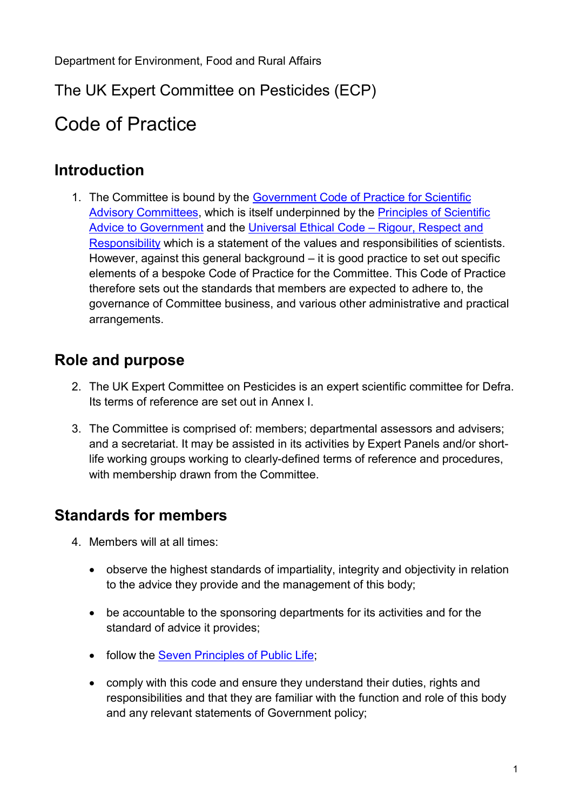# The UK Expert Committee on Pesticides (ECP)

# Code of Practice

### **Introduction**

1. The Committee is bound by the Government Code of Practice for Scientific [Advisory Committees,](https://www.gov.uk/government/publications/scientific-advisory-committees-code-of-practice) which is itself underpinned by the [Principles of Scientific](https://www.gov.uk/government/publications/scientific-advice-to-government-principles)  [Advice to Government](https://www.gov.uk/government/publications/scientific-advice-to-government-principles) and the [Universal Ethical Code –](https://www.gov.uk/government/uploads/system/uploads/attachment_data/file/283157/universal-ethical-code-scientists.pdf) Rigour, Respect and [Responsibility](https://www.gov.uk/government/uploads/system/uploads/attachment_data/file/283157/universal-ethical-code-scientists.pdf) which is a statement of the values and responsibilities of scientists. However, against this general background – it is good practice to set out specific elements of a bespoke Code of Practice for the Committee. This Code of Practice therefore sets out the standards that members are expected to adhere to, the governance of Committee business, and various other administrative and practical arrangements.

# **Role and purpose**

- 2. The UK Expert Committee on Pesticides is an expert scientific committee for Defra. Its terms of reference are set out in Annex I.
- 3. The Committee is comprised of: members; departmental assessors and advisers; and a secretariat. It may be assisted in its activities by Expert Panels and/or shortlife working groups working to clearly-defined terms of reference and procedures, with membership drawn from the Committee.

# **Standards for members**

- 4. Members will at all times:
	- observe the highest standards of impartiality, integrity and objectivity in relation to the advice they provide and the management of this body;
	- be accountable to the sponsoring departments for its activities and for the standard of advice it provides;
	- follow the Seven Principles of Public Life:
	- comply with this code and ensure they understand their duties, rights and responsibilities and that they are familiar with the function and role of this body and any relevant statements of Government policy;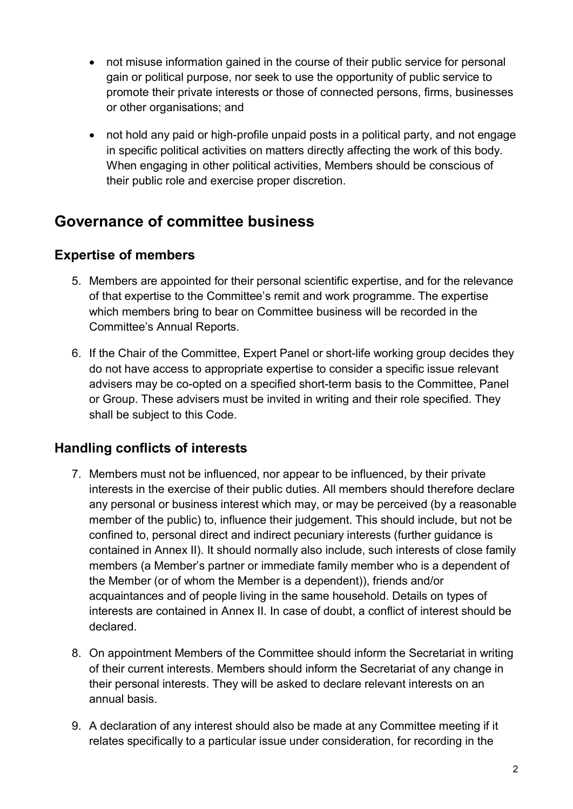- not misuse information gained in the course of their public service for personal gain or political purpose, nor seek to use the opportunity of public service to promote their private interests or those of connected persons, firms, businesses or other organisations; and
- not hold any paid or high-profile unpaid posts in a political party, and not engage in specific political activities on matters directly affecting the work of this body. When engaging in other political activities, Members should be conscious of their public role and exercise proper discretion.

## **Governance of committee business**

#### **Expertise of members**

- 5. Members are appointed for their personal scientific expertise, and for the relevance of that expertise to the Committee's remit and work programme. The expertise which members bring to bear on Committee business will be recorded in the Committee's Annual Reports.
- 6. If the Chair of the Committee, Expert Panel or short-life working group decides they do not have access to appropriate expertise to consider a specific issue relevant advisers may be co-opted on a specified short-term basis to the Committee, Panel or Group. These advisers must be invited in writing and their role specified. They shall be subject to this Code.

### **Handling conflicts of interests**

- 7. Members must not be influenced, nor appear to be influenced, by their private interests in the exercise of their public duties. All members should therefore declare any personal or business interest which may, or may be perceived (by a reasonable member of the public) to, influence their judgement. This should include, but not be confined to, personal direct and indirect pecuniary interests (further guidance is contained in Annex II). It should normally also include, such interests of close family members (a Member's partner or immediate family member who is a dependent of the Member (or of whom the Member is a dependent)), friends and/or acquaintances and of people living in the same household. Details on types of interests are contained in Annex II. In case of doubt, a conflict of interest should be declared.
- 8. On appointment Members of the Committee should inform the Secretariat in writing of their current interests. Members should inform the Secretariat of any change in their personal interests. They will be asked to declare relevant interests on an annual basis.
- 9. A declaration of any interest should also be made at any Committee meeting if it relates specifically to a particular issue under consideration, for recording in the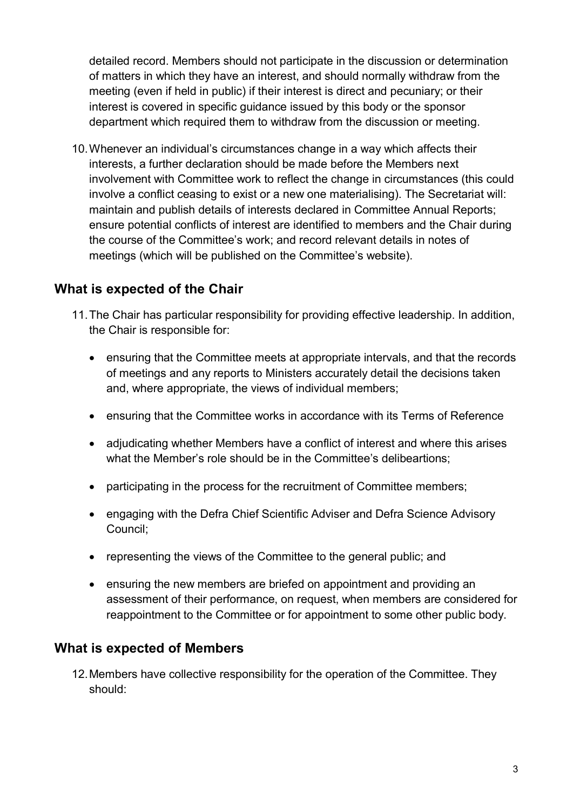detailed record. Members should not participate in the discussion or determination of matters in which they have an interest, and should normally withdraw from the meeting (even if held in public) if their interest is direct and pecuniary; or their interest is covered in specific guidance issued by this body or the sponsor department which required them to withdraw from the discussion or meeting.

10.Whenever an individual's circumstances change in a way which affects their interests, a further declaration should be made before the Members next involvement with Committee work to reflect the change in circumstances (this could involve a conflict ceasing to exist or a new one materialising). The Secretariat will: maintain and publish details of interests declared in Committee Annual Reports; ensure potential conflicts of interest are identified to members and the Chair during the course of the Committee's work; and record relevant details in notes of meetings (which will be published on the Committee's website).

#### **What is expected of the Chair**

- 11.The Chair has particular responsibility for providing effective leadership. In addition, the Chair is responsible for:
	- ensuring that the Committee meets at appropriate intervals, and that the records of meetings and any reports to Ministers accurately detail the decisions taken and, where appropriate, the views of individual members;
	- ensuring that the Committee works in accordance with its Terms of Reference
	- adjudicating whether Members have a conflict of interest and where this arises what the Member's role should be in the Committee's delibeartions;
	- participating in the process for the recruitment of Committee members;
	- engaging with the Defra Chief Scientific Adviser and Defra Science Advisory Council;
	- representing the views of the Committee to the general public; and
	- ensuring the new members are briefed on appointment and providing an assessment of their performance, on request, when members are considered for reappointment to the Committee or for appointment to some other public body.

#### **What is expected of Members**

12.Members have collective responsibility for the operation of the Committee. They should: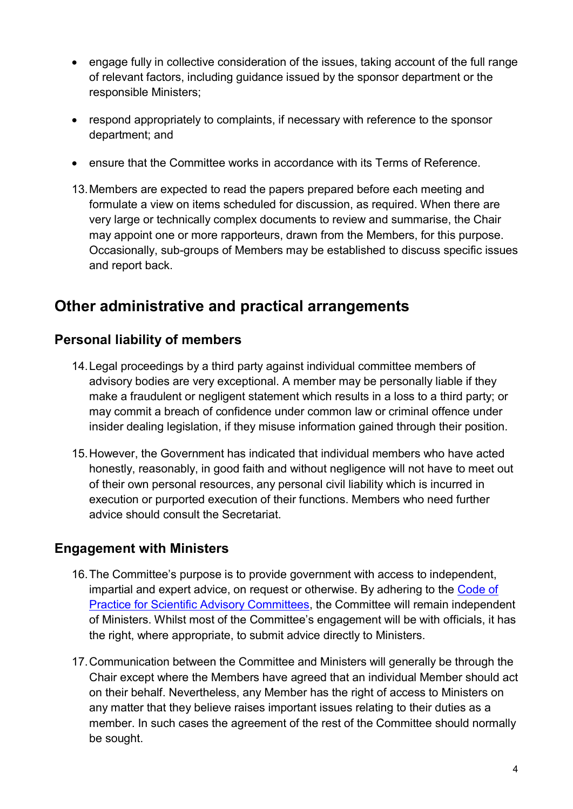- engage fully in collective consideration of the issues, taking account of the full range of relevant factors, including guidance issued by the sponsor department or the responsible Ministers;
- respond appropriately to complaints, if necessary with reference to the sponsor department; and
- ensure that the Committee works in accordance with its Terms of Reference.
- 13.Members are expected to read the papers prepared before each meeting and formulate a view on items scheduled for discussion, as required. When there are very large or technically complex documents to review and summarise, the Chair may appoint one or more rapporteurs, drawn from the Members, for this purpose. Occasionally, sub-groups of Members may be established to discuss specific issues and report back.

## **Other administrative and practical arrangements**

#### **Personal liability of members**

- 14.Legal proceedings by a third party against individual committee members of advisory bodies are very exceptional. A member may be personally liable if they make a fraudulent or negligent statement which results in a loss to a third party; or may commit a breach of confidence under common law or criminal offence under insider dealing legislation, if they misuse information gained through their position.
- 15.However, the Government has indicated that individual members who have acted honestly, reasonably, in good faith and without negligence will not have to meet out of their own personal resources, any personal civil liability which is incurred in execution or purported execution of their functions. Members who need further advice should consult the Secretariat.

#### **Engagement with Ministers**

- 16.The Committee's purpose is to provide government with access to independent, impartial and expert advice, on request or otherwise. By adhering to the Code of [Practice for Scientific Advisory Committees,](https://www.gov.uk/government/publications/scientific-advisory-committees-code-of-practice) the Committee will remain independent of Ministers. Whilst most of the Committee's engagement will be with officials, it has the right, where appropriate, to submit advice directly to Ministers.
- 17.Communication between the Committee and Ministers will generally be through the Chair except where the Members have agreed that an individual Member should act on their behalf. Nevertheless, any Member has the right of access to Ministers on any matter that they believe raises important issues relating to their duties as a member. In such cases the agreement of the rest of the Committee should normally be sought.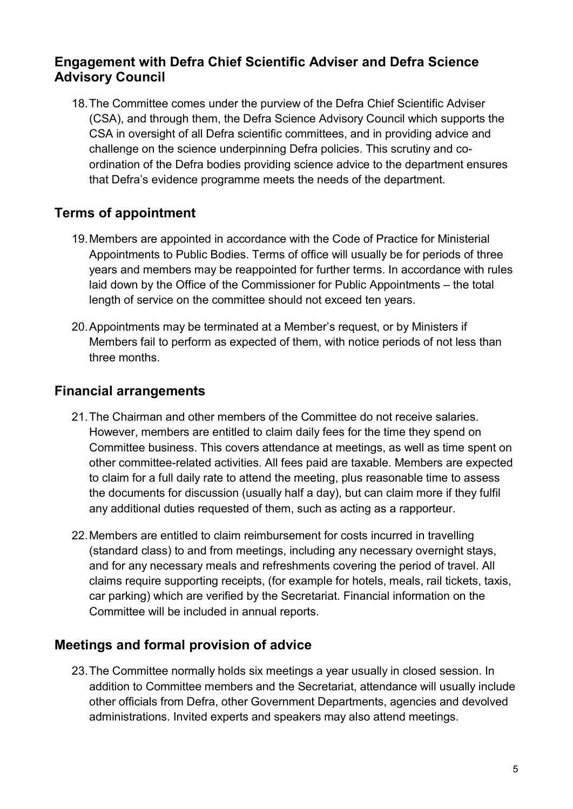### **Engagement with Defra Chief Scientific Adviser and Defra Science Advisory Council**

18.The Committee comes under the purview of the Defra Chief Scientific Adviser (CSA), and through them, the Defra Science Advisory Council which supports the CSA in oversight of all Defra scientific committees, and in providing advice and challenge on the science underpinning Defra policies. This scrutiny and coordination of the Defra bodies providing science advice to the department ensures that Defra's evidence programme meets the needs of the department.

### **Terms of appointment**

- 19.Members are appointed in accordance with the Code of Practice for Ministerial Appointments to Public Bodies. Terms of office will usually be for periods of three years and members may be reappointed for further terms. In accordance with rules laid down by the Office of the Commissioner for Public Appointments – the total length of service on the committee should not exceed ten years.
- 20.Appointments may be terminated at a Member's request, or by Ministers if Members fail to perform as expected of them, with notice periods of not less than three months.

### **Financial arrangements**

- 21.The Chairman and other members of the Committee do not receive salaries. However, members are entitled to claim daily fees for the time they spend on Committee business. This covers attendance at meetings, as well as time spent on other committee-related activities. All fees paid are taxable. Members are expected to claim for a full daily rate to attend the meeting, plus reasonable time to assess the documents for discussion (usually half a day), but can claim more if they fulfil any additional duties requested of them, such as acting as a rapporteur.
- 22.Members are entitled to claim reimbursement for costs incurred in travelling (standard class) to and from meetings, including any necessary overnight stays, and for any necessary meals and refreshments covering the period of travel. All claims require supporting receipts, (for example for hotels, meals, rail tickets, taxis, car parking) which are verified by the Secretariat. Financial information on the Committee will be included in annual reports.

### **Meetings and formal provision of advice**

23.The Committee normally holds six meetings a year usually in closed session. In addition to Committee members and the Secretariat, attendance will usually include other officials from Defra, other Government Departments, agencies and devolved administrations. Invited experts and speakers may also attend meetings.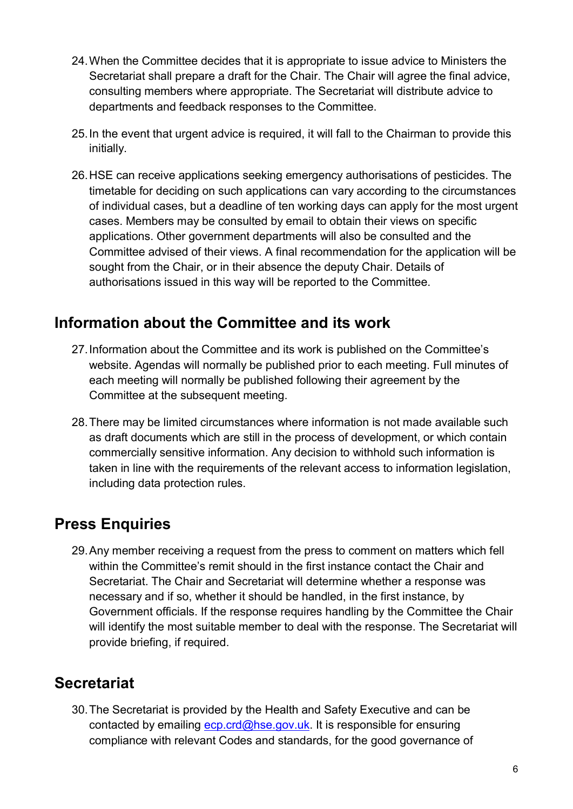- 24.When the Committee decides that it is appropriate to issue advice to Ministers the Secretariat shall prepare a draft for the Chair. The Chair will agree the final advice, consulting members where appropriate. The Secretariat will distribute advice to departments and feedback responses to the Committee.
- 25.In the event that urgent advice is required, it will fall to the Chairman to provide this initially.
- 26.HSE can receive applications seeking emergency authorisations of pesticides. The timetable for deciding on such applications can vary according to the circumstances of individual cases, but a deadline of ten working days can apply for the most urgent cases. Members may be consulted by email to obtain their views on specific applications. Other government departments will also be consulted and the Committee advised of their views. A final recommendation for the application will be sought from the Chair, or in their absence the deputy Chair. Details of authorisations issued in this way will be reported to the Committee.

# **Information about the Committee and its work**

- 27.Information about the Committee and its work is published on the Committee's website. Agendas will normally be published prior to each meeting. Full minutes of each meeting will normally be published following their agreement by the Committee at the subsequent meeting.
- 28.There may be limited circumstances where information is not made available such as draft documents which are still in the process of development, or which contain commercially sensitive information. Any decision to withhold such information is taken in line with the requirements of the relevant access to information legislation, including data protection rules.

# **Press Enquiries**

29.Any member receiving a request from the press to comment on matters which fell within the Committee's remit should in the first instance contact the Chair and Secretariat. The Chair and Secretariat will determine whether a response was necessary and if so, whether it should be handled, in the first instance, by Government officials. If the response requires handling by the Committee the Chair will identify the most suitable member to deal with the response. The Secretariat will provide briefing, if required.

# **Secretariat**

30.The Secretariat is provided by the Health and Safety Executive and can be contacted by emailing [ecp.crd@hse.gov.uk.](mailto:ecp.crd@hse.gov.uk) It is responsible for ensuring compliance with relevant Codes and standards, for the good governance of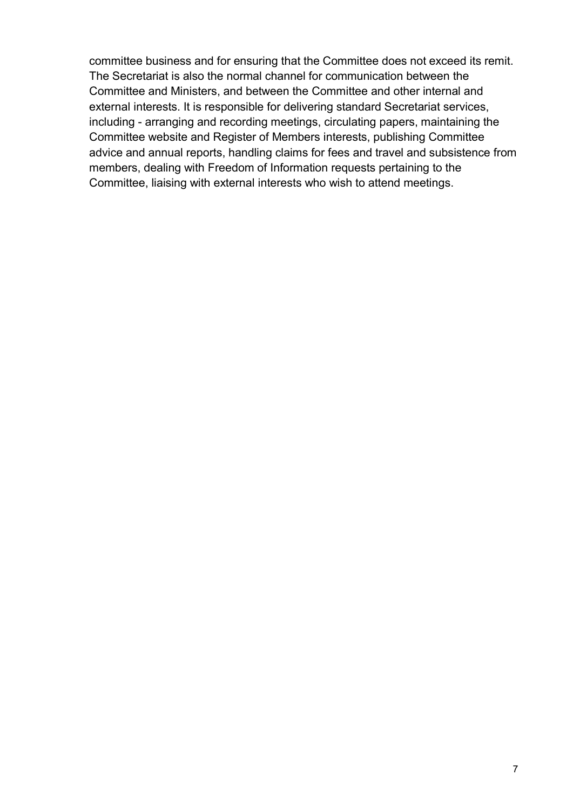committee business and for ensuring that the Committee does not exceed its remit. The Secretariat is also the normal channel for communication between the Committee and Ministers, and between the Committee and other internal and external interests. It is responsible for delivering standard Secretariat services, including - arranging and recording meetings, circulating papers, maintaining the Committee website and Register of Members interests, publishing Committee advice and annual reports, handling claims for fees and travel and subsistence from members, dealing with Freedom of Information requests pertaining to the Committee, liaising with external interests who wish to attend meetings.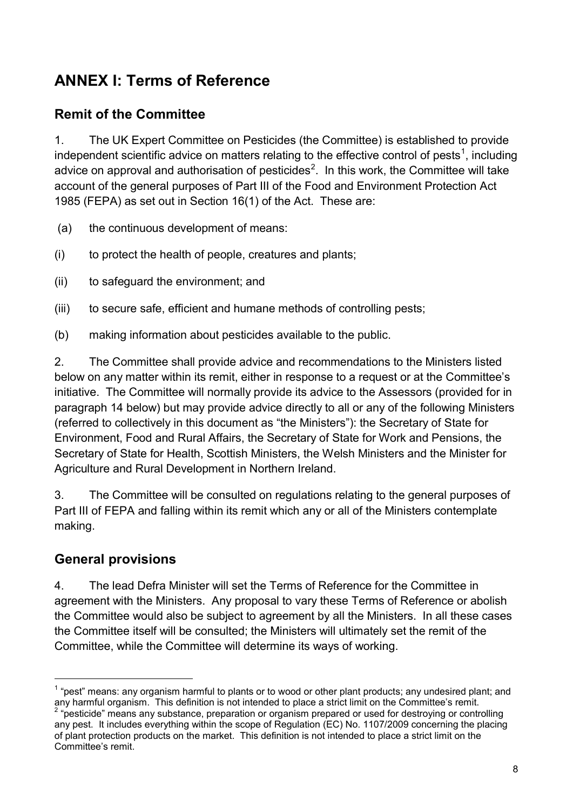# **ANNEX I: Terms of Reference**

### **Remit of the Committee**

1. The UK Expert Committee on Pesticides (the Committee) is established to provide independent scientific advice on matters relating to the effective control of pests<sup>[1](#page-7-0)</sup>, including advice on approval and authorisation of pesticides<sup>[2](#page-7-1)</sup>. In this work, the Committee will take account of the general purposes of Part III of the Food and Environment Protection Act 1985 (FEPA) as set out in Section 16(1) of the Act. These are:

- (a) the continuous development of means:
- (i) to protect the health of people, creatures and plants;
- (ii) to safeguard the environment; and
- (iii) to secure safe, efficient and humane methods of controlling pests;
- (b) making information about pesticides available to the public.

2. The Committee shall provide advice and recommendations to the Ministers listed below on any matter within its remit, either in response to a request or at the Committee's initiative. The Committee will normally provide its advice to the Assessors (provided for in paragraph 14 below) but may provide advice directly to all or any of the following Ministers (referred to collectively in this document as "the Ministers"): the Secretary of State for Environment, Food and Rural Affairs, the Secretary of State for Work and Pensions, the Secretary of State for Health, Scottish Ministers, the Welsh Ministers and the Minister for Agriculture and Rural Development in Northern Ireland.

3. The Committee will be consulted on regulations relating to the general purposes of Part III of FEPA and falling within its remit which any or all of the Ministers contemplate making.

#### **General provisions**

4. The lead Defra Minister will set the Terms of Reference for the Committee in agreement with the Ministers. Any proposal to vary these Terms of Reference or abolish the Committee would also be subject to agreement by all the Ministers. In all these cases the Committee itself will be consulted; the Ministers will ultimately set the remit of the Committee, while the Committee will determine its ways of working.

<span id="page-7-0"></span> $1$  "pest" means: any organism harmful to plants or to wood or other plant products; any undesired plant; and any harmful organism. This definition is not intended to place a strict limit on the Committee's remit.

<span id="page-7-1"></span>pesticide" means any substance, preparation or organism prepared or used for destroying or controlling" any pest. It includes everything within the scope of Regulation (EC) No. 1107/2009 concerning the placing of plant protection products on the market. This definition is not intended to place a strict limit on the Committee's remit.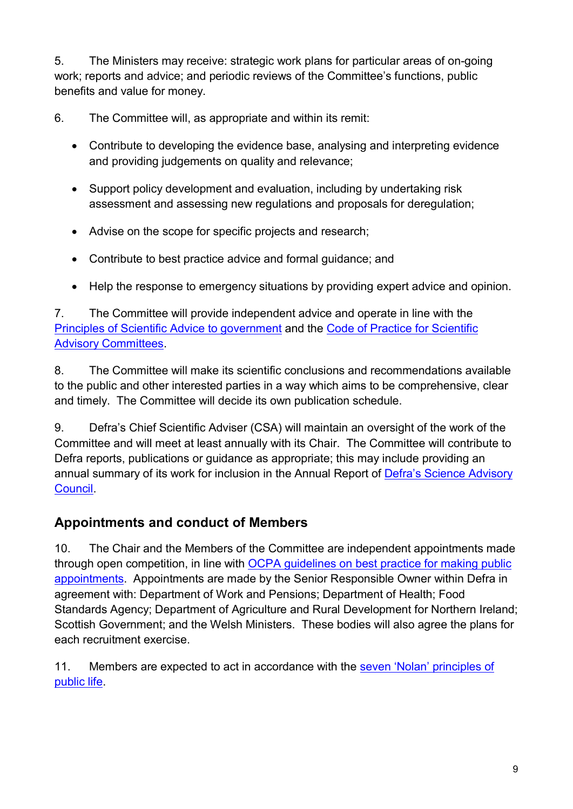5. The Ministers may receive: strategic work plans for particular areas of on-going work; reports and advice; and periodic reviews of the Committee's functions, public benefits and value for money.

6. The Committee will, as appropriate and within its remit:

- Contribute to developing the evidence base, analysing and interpreting evidence and providing judgements on quality and relevance;
- Support policy development and evaluation, including by undertaking risk assessment and assessing new regulations and proposals for deregulation;
- Advise on the scope for specific projects and research;
- Contribute to best practice advice and formal guidance; and
- Help the response to emergency situations by providing expert advice and opinion.

7. The Committee will provide independent advice and operate in line with the [Principles of Scientific Advice to government](https://www.gov.uk/government/publications/scientific-advice-to-government-principles) and the [Code of Practice for Scientific](https://www.gov.uk/government/publications/scientific-advisory-committees-code-of-practice)  [Advisory Committees.](https://www.gov.uk/government/publications/scientific-advisory-committees-code-of-practice)

8. The Committee will make its scientific conclusions and recommendations available to the public and other interested parties in a way which aims to be comprehensive, clear and timely. The Committee will decide its own publication schedule.

9. Defra's Chief Scientific Adviser (CSA) will maintain an oversight of the work of the Committee and will meet at least annually with its Chair. The Committee will contribute to Defra reports, publications or guidance as appropriate; this may include providing an annual summary of its work for inclusion in the Annual Report of [Defra's Science Advisory](https://www.gov.uk/government/organisations/science-advisory-council)  [Council.](https://www.gov.uk/government/organisations/science-advisory-council)

# **Appointments and conduct of Members**

10. The Chair and the Members of the Committee are independent appointments made through open competition, in line with [OCPA guidelines on best practice for making public](http://publicappointmentscommissioner.independent.gov.uk/wp-content/uploads/2012/02/Code%20of%20Practice%202012.pdf)  [appointments.](http://publicappointmentscommissioner.independent.gov.uk/wp-content/uploads/2012/02/Code%20of%20Practice%202012.pdf) Appointments are made by the Senior Responsible Owner within Defra in agreement with: Department of Work and Pensions; Department of Health; Food Standards Agency; Department of Agriculture and Rural Development for Northern Ireland; Scottish Government; and the Welsh Ministers. These bodies will also agree the plans for each recruitment exercise.

11. Members are expected to act in accordance with the seven 'Nolan' principles of [public life.](https://www.gov.uk/government/publications/the-7-principles-of-public-life)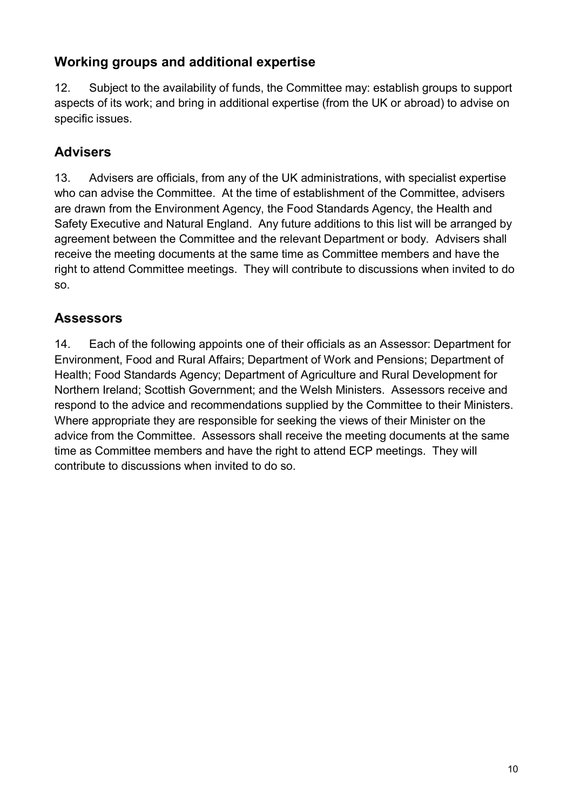### **Working groups and additional expertise**

12. Subject to the availability of funds, the Committee may: establish groups to support aspects of its work; and bring in additional expertise (from the UK or abroad) to advise on specific issues.

### **Advisers**

13. Advisers are officials, from any of the UK administrations, with specialist expertise who can advise the Committee. At the time of establishment of the Committee, advisers are drawn from the Environment Agency, the Food Standards Agency, the Health and Safety Executive and Natural England. Any future additions to this list will be arranged by agreement between the Committee and the relevant Department or body. Advisers shall receive the meeting documents at the same time as Committee members and have the right to attend Committee meetings. They will contribute to discussions when invited to do so.

### **Assessors**

14. Each of the following appoints one of their officials as an Assessor: Department for Environment, Food and Rural Affairs; Department of Work and Pensions; Department of Health; Food Standards Agency; Department of Agriculture and Rural Development for Northern Ireland; Scottish Government; and the Welsh Ministers. Assessors receive and respond to the advice and recommendations supplied by the Committee to their Ministers. Where appropriate they are responsible for seeking the views of their Minister on the advice from the Committee. Assessors shall receive the meeting documents at the same time as Committee members and have the right to attend ECP meetings. They will contribute to discussions when invited to do so.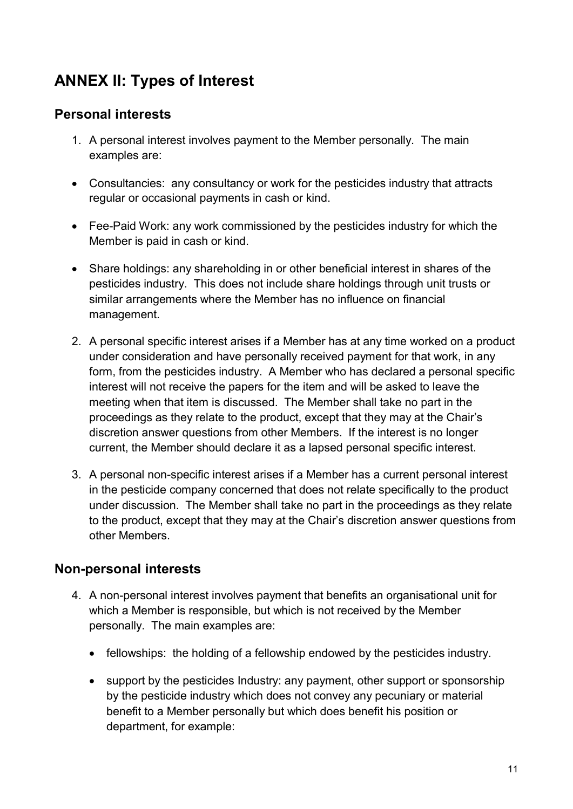# **ANNEX II: Types of Interest**

### **Personal interests**

- 1. A personal interest involves payment to the Member personally. The main examples are:
- Consultancies: any consultancy or work for the pesticides industry that attracts regular or occasional payments in cash or kind.
- Fee-Paid Work: any work commissioned by the pesticides industry for which the Member is paid in cash or kind.
- Share holdings: any shareholding in or other beneficial interest in shares of the pesticides industry. This does not include share holdings through unit trusts or similar arrangements where the Member has no influence on financial management.
- 2. A personal specific interest arises if a Member has at any time worked on a product under consideration and have personally received payment for that work, in any form, from the pesticides industry. A Member who has declared a personal specific interest will not receive the papers for the item and will be asked to leave the meeting when that item is discussed. The Member shall take no part in the proceedings as they relate to the product, except that they may at the Chair's discretion answer questions from other Members. If the interest is no longer current, the Member should declare it as a lapsed personal specific interest.
- 3. A personal non-specific interest arises if a Member has a current personal interest in the pesticide company concerned that does not relate specifically to the product under discussion. The Member shall take no part in the proceedings as they relate to the product, except that they may at the Chair's discretion answer questions from other Members.

#### **Non-personal interests**

- 4. A non-personal interest involves payment that benefits an organisational unit for which a Member is responsible, but which is not received by the Member personally. The main examples are:
	- fellowships: the holding of a fellowship endowed by the pesticides industry.
	- support by the pesticides Industry: any payment, other support or sponsorship by the pesticide industry which does not convey any pecuniary or material benefit to a Member personally but which does benefit his position or department, for example: